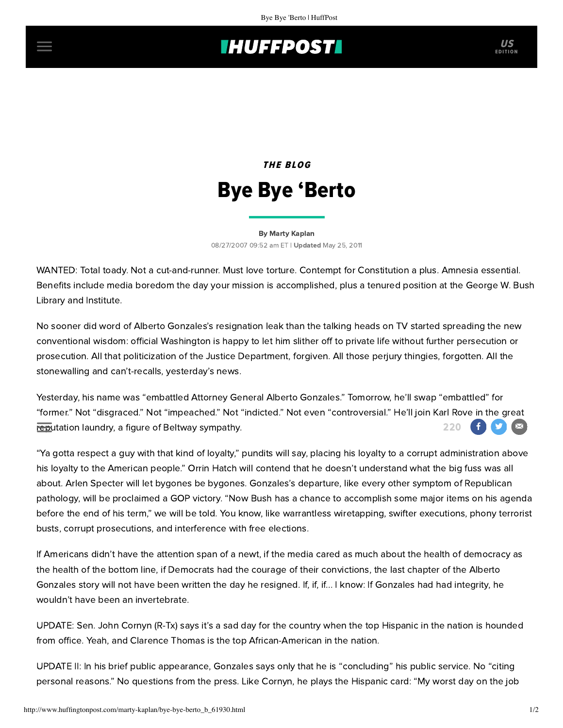## **THUFFPOST**

## THE BLOG Bye Bye 'Berto

[By Marty Kaplan](http://www.huffingtonpost.com/author/marty-kaplan) 08/27/2007 09:52 am ET | Updated May 25, 2011

WANTED: Total toady. Not a cut-and-runner. Must love torture. Contempt for Constitution a plus. Amnesia essential. Benefits include media boredom the day your mission is accomplished, plus a tenured position at the George W. Bush Library and Institute.

No sooner did word of Alberto Gonzales's resignation leak than the talking heads on TV started spreading the new conventional wisdom: official Washington is happy to let him slither off to private life without further persecution or prosecution. All that politicization of the Justice Department, forgiven. All those perjury thingies, forgotten. All the stonewalling and can't-recalls, yesterday's news.

Yesterday, his name was "embattled Attorney General Alberto Gonzales." Tomorrow, he'll swap "embattled" for "former." Not "disgraced." Not "impeached." Not "indicted." Not even "controversial." He'll join Karl Rove in the great reputation laundry, a figure of Beltway sympathy. The control of the control of the control of the control of t

"Ya gotta respect a guy with that kind of loyalty," pundits will say, placing his loyalty to a corrupt administration above his loyalty to the American people." Orrin Hatch will contend that he doesn't understand what the big fuss was all about. Arlen Specter will let bygones be bygones. Gonzales's departure, like every other symptom of Republican pathology, will be proclaimed a GOP victory. "Now Bush has a chance to accomplish some major items on his agenda before the end of his term," we will be told. You know, like warrantless wiretapping, swifter executions, phony terrorist busts, corrupt prosecutions, and interference with free elections.

If Americans didn't have the attention span of a newt, if the media cared as much about the health of democracy as the health of the bottom line, if Democrats had the courage of their convictions, the last chapter of the Alberto Gonzales story will not have been written the day he resigned. If, if, if... I know: If Gonzales had had integrity, he wouldn't have been an invertebrate.

UPDATE: Sen. John Cornyn (R-Tx) says it's a sad day for the country when the top Hispanic in the nation is hounded from office. Yeah, and Clarence Thomas is the top African-American in the nation.

UPDATE II: In his brief public appearance, Gonzales says only that he is "concluding" his public service. No "citing personal reasons." No questions from the press. Like Cornyn, he plays the Hispanic card: "My worst day on the job